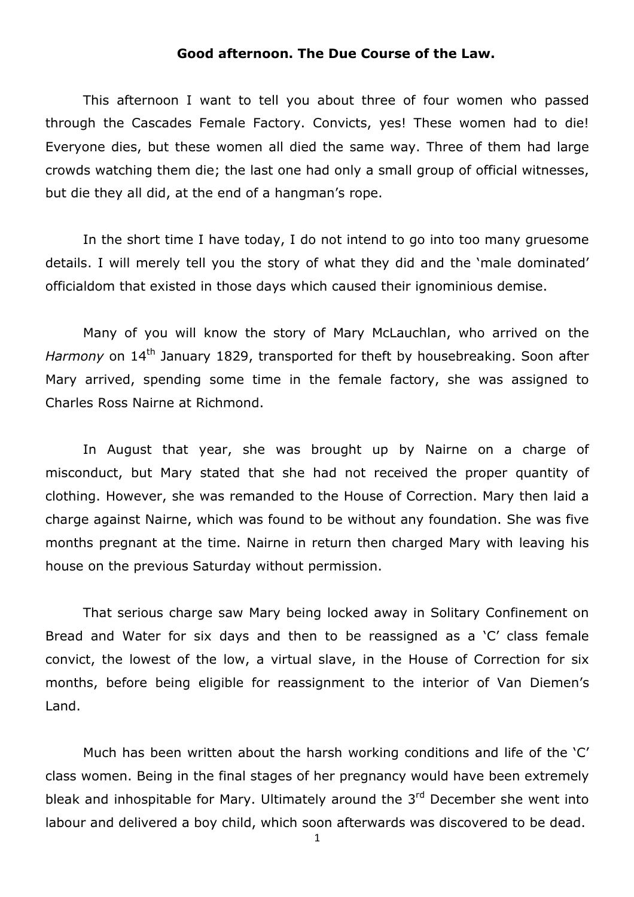## Good afternoon. The Due Course of the Law.

This afternoon I want to tell you about three of four women who passed through the Cascades Female Factory. Convicts, yes! These women had to die! Everyone dies, but these women all died the same way. Three of them had large crowds watching them die; the last one had only a small group of official witnesses, but die they all did, at the end of a hangman's rope.

In the short time I have today, I do not intend to go into too many gruesome details. I will merely tell you the story of what they did and the 'male dominated' officialdom that existed in those days which caused their ignominious demise.

Many of you will know the story of Mary McLauchlan, who arrived on the Harmony on  $14<sup>th</sup>$  January 1829, transported for theft by housebreaking. Soon after Mary arrived, spending some time in the female factory, she was assigned to Charles Ross Nairne at Richmond.

In August that year, she was brought up by Nairne on a charge of misconduct, but Mary stated that she had not received the proper quantity of clothing. However, she was remanded to the House of Correction. Mary then laid a charge against Nairne, which was found to be without any foundation. She was five months pregnant at the time. Nairne in return then charged Mary with leaving his house on the previous Saturday without permission.

That serious charge saw Mary being locked away in Solitary Confinement on Bread and Water for six days and then to be reassigned as a 'C' class female convict, the lowest of the low, a virtual slave, in the House of Correction for six months, before being eligible for reassignment to the interior of Van Diemen's Land.

Much has been written about the harsh working conditions and life of the 'C' class women. Being in the final stages of her pregnancy would have been extremely bleak and inhospitable for Mary. Ultimately around the 3<sup>rd</sup> December she went into labour and delivered a boy child, which soon afterwards was discovered to be dead.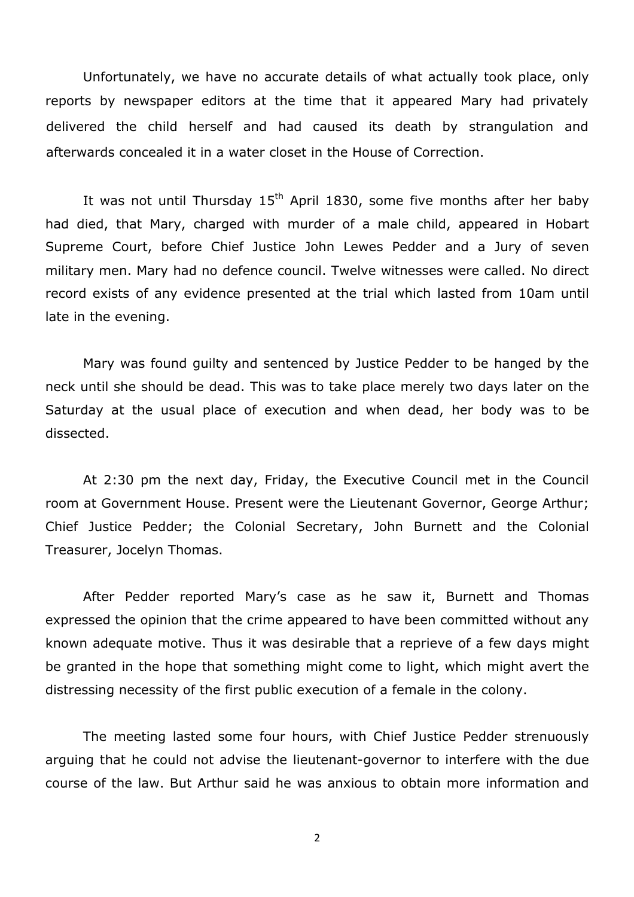Unfortunately, we have no accurate details of what actually took place, only reports by newspaper editors at the time that it appeared Mary had privately delivered the child herself and had caused its death by strangulation and afterwards concealed it in a water closet in the House of Correction.

It was not until Thursday  $15<sup>th</sup>$  April 1830, some five months after her baby had died, that Mary, charged with murder of a male child, appeared in Hobart Supreme Court, before Chief Justice John Lewes Pedder and a Jury of seven military men. Mary had no defence council. Twelve witnesses were called. No direct record exists of any evidence presented at the trial which lasted from 10am until late in the evening.

Mary was found guilty and sentenced by Justice Pedder to be hanged by the neck until she should be dead. This was to take place merely two days later on the Saturday at the usual place of execution and when dead, her body was to be dissected.

At 2:30 pm the next day, Friday, the Executive Council met in the Council room at Government House. Present were the Lieutenant Governor, George Arthur; Chief Justice Pedder; the Colonial Secretary, John Burnett and the Colonial Treasurer, Jocelyn Thomas.

After Pedder reported Mary's case as he saw it, Burnett and Thomas expressed the opinion that the crime appeared to have been committed without any known adequate motive. Thus it was desirable that a reprieve of a few days might be granted in the hope that something might come to light, which might avert the distressing necessity of the first public execution of a female in the colony.

The meeting lasted some four hours, with Chief Justice Pedder strenuously arguing that he could not advise the lieutenant-governor to interfere with the due course of the law. But Arthur said he was anxious to obtain more information and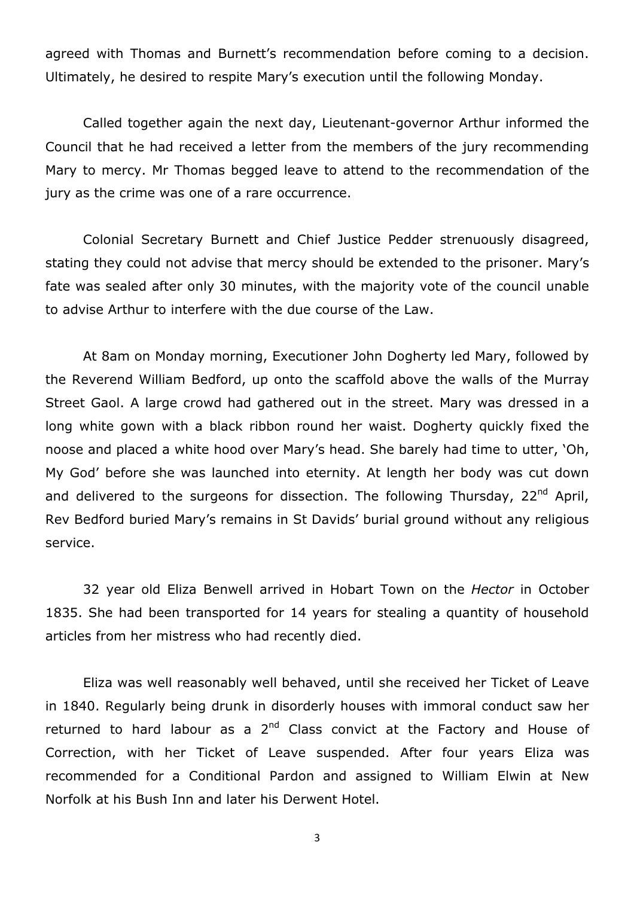agreed with Thomas and Burnett's recommendation before coming to a decision. Ultimately, he desired to respite Mary's execution until the following Monday.

Called together again the next day, Lieutenant-governor Arthur informed the Council that he had received a letter from the members of the jury recommending Mary to mercy. Mr Thomas begged leave to attend to the recommendation of the jury as the crime was one of a rare occurrence.

Colonial Secretary Burnett and Chief Justice Pedder strenuously disagreed, stating they could not advise that mercy should be extended to the prisoner. Mary's fate was sealed after only 30 minutes, with the majority vote of the council unable to advise Arthur to interfere with the due course of the Law.

At 8am on Monday morning, Executioner John Dogherty led Mary, followed by the Reverend William Bedford, up onto the scaffold above the walls of the Murray Street Gaol. A large crowd had gathered out in the street. Mary was dressed in a long white gown with a black ribbon round her waist. Dogherty quickly fixed the noose and placed a white hood over Mary's head. She barely had time to utter, 'Oh, My God' before she was launched into eternity. At length her body was cut down and delivered to the surgeons for dissection. The following Thursday,  $22^{nd}$  April, Rev Bedford buried Mary's remains in St Davids' burial ground without any religious service.

32 year old Eliza Benwell arrived in Hobart Town on the Hector in October 1835. She had been transported for 14 years for stealing a quantity of household articles from her mistress who had recently died.

Eliza was well reasonably well behaved, until she received her Ticket of Leave in 1840. Regularly being drunk in disorderly houses with immoral conduct saw her returned to hard labour as a  $2<sup>nd</sup>$  Class convict at the Factory and House of Correction, with her Ticket of Leave suspended. After four years Eliza was recommended for a Conditional Pardon and assigned to William Elwin at New Norfolk at his Bush Inn and later his Derwent Hotel.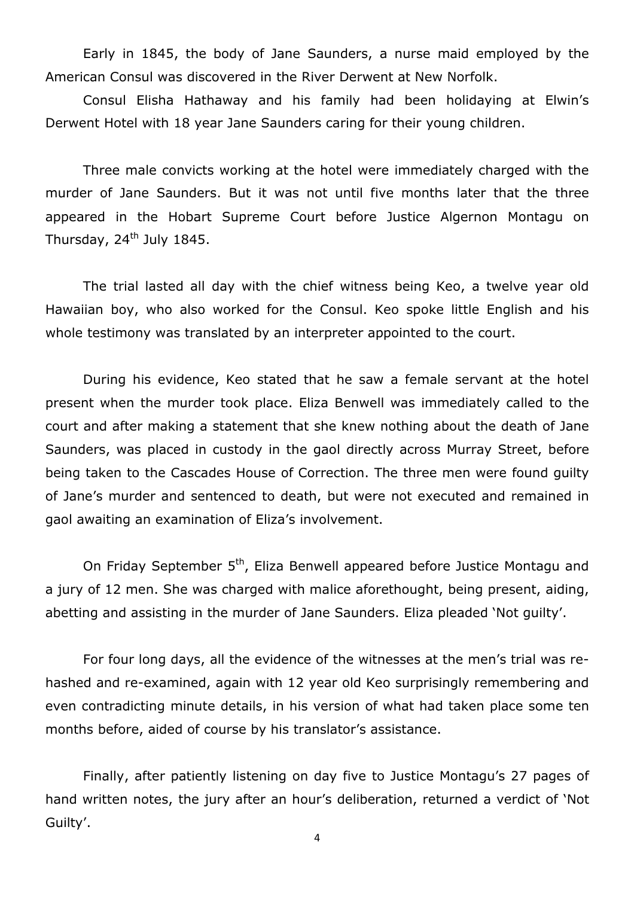Early in 1845, the body of Jane Saunders, a nurse maid employed by the American Consul was discovered in the River Derwent at New Norfolk.

Consul Elisha Hathaway and his family had been holidaying at Elwin's Derwent Hotel with 18 year Jane Saunders caring for their young children.

Three male convicts working at the hotel were immediately charged with the murder of Jane Saunders. But it was not until five months later that the three appeared in the Hobart Supreme Court before Justice Algernon Montagu on Thursday, 24<sup>th</sup> July 1845.

The trial lasted all day with the chief witness being Keo, a twelve year old Hawaiian boy, who also worked for the Consul. Keo spoke little English and his whole testimony was translated by an interpreter appointed to the court.

During his evidence, Keo stated that he saw a female servant at the hotel present when the murder took place. Eliza Benwell was immediately called to the court and after making a statement that she knew nothing about the death of Jane Saunders, was placed in custody in the gaol directly across Murray Street, before being taken to the Cascades House of Correction. The three men were found guilty of Jane's murder and sentenced to death, but were not executed and remained in gaol awaiting an examination of Eliza's involvement.

On Friday September 5<sup>th</sup>, Eliza Benwell appeared before Justice Montagu and a jury of 12 men. She was charged with malice aforethought, being present, aiding, abetting and assisting in the murder of Jane Saunders. Eliza pleaded 'Not guilty'.

For four long days, all the evidence of the witnesses at the men's trial was rehashed and re-examined, again with 12 year old Keo surprisingly remembering and even contradicting minute details, in his version of what had taken place some ten months before, aided of course by his translator's assistance.

Finally, after patiently listening on day five to Justice Montagu's 27 pages of hand written notes, the jury after an hour's deliberation, returned a verdict of 'Not Guilty'.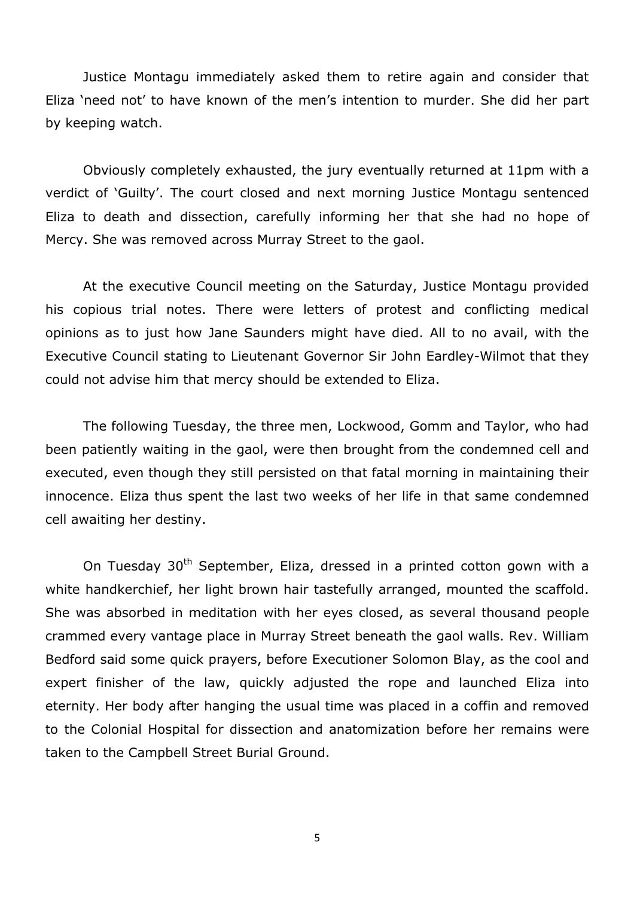Justice Montagu immediately asked them to retire again and consider that Eliza 'need not' to have known of the men's intention to murder. She did her part by keeping watch.

Obviously completely exhausted, the jury eventually returned at 11pm with a verdict of 'Guilty'. The court closed and next morning Justice Montagu sentenced Eliza to death and dissection, carefully informing her that she had no hope of Mercy. She was removed across Murray Street to the gaol.

At the executive Council meeting on the Saturday, Justice Montagu provided his copious trial notes. There were letters of protest and conflicting medical opinions as to just how Jane Saunders might have died. All to no avail, with the Executive Council stating to Lieutenant Governor Sir John Eardley-Wilmot that they could not advise him that mercy should be extended to Eliza.

The following Tuesday, the three men, Lockwood, Gomm and Taylor, who had been patiently waiting in the gaol, were then brought from the condemned cell and executed, even though they still persisted on that fatal morning in maintaining their innocence. Eliza thus spent the last two weeks of her life in that same condemned cell awaiting her destiny.

On Tuesday 30<sup>th</sup> September, Eliza, dressed in a printed cotton gown with a white handkerchief, her light brown hair tastefully arranged, mounted the scaffold. She was absorbed in meditation with her eyes closed, as several thousand people crammed every vantage place in Murray Street beneath the gaol walls. Rev. William Bedford said some quick prayers, before Executioner Solomon Blay, as the cool and expert finisher of the law, quickly adjusted the rope and launched Eliza into eternity. Her body after hanging the usual time was placed in a coffin and removed to the Colonial Hospital for dissection and anatomization before her remains were taken to the Campbell Street Burial Ground.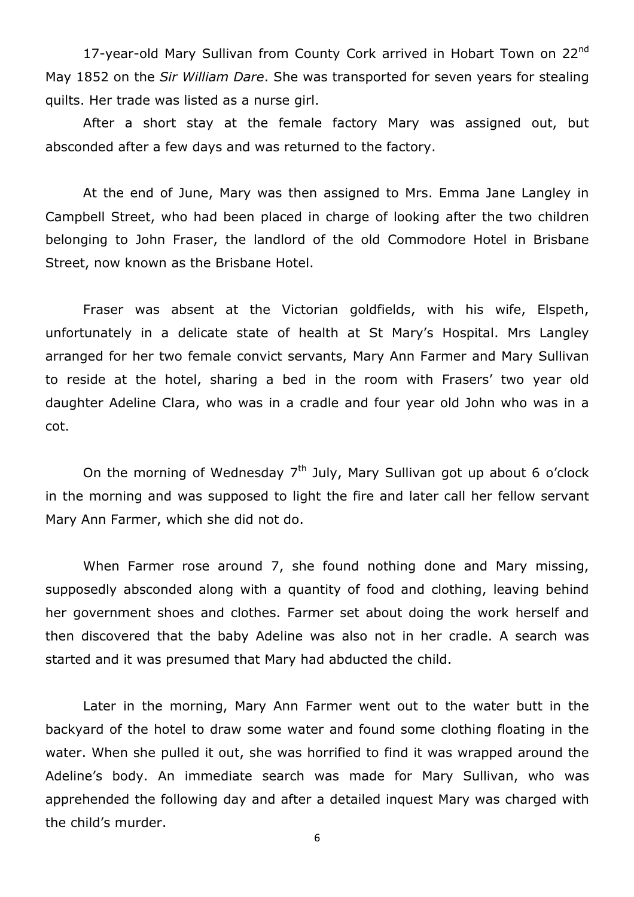17-year-old Mary Sullivan from County Cork arrived in Hobart Town on 22<sup>nd</sup> May 1852 on the Sir William Dare. She was transported for seven years for stealing quilts. Her trade was listed as a nurse girl.

After a short stay at the female factory Mary was assigned out, but absconded after a few days and was returned to the factory.

At the end of June, Mary was then assigned to Mrs. Emma Jane Langley in Campbell Street, who had been placed in charge of looking after the two children belonging to John Fraser, the landlord of the old Commodore Hotel in Brisbane Street, now known as the Brisbane Hotel.

Fraser was absent at the Victorian goldfields, with his wife, Elspeth, unfortunately in a delicate state of health at St Mary's Hospital. Mrs Langley arranged for her two female convict servants, Mary Ann Farmer and Mary Sullivan to reside at the hotel, sharing a bed in the room with Frasers' two year old daughter Adeline Clara, who was in a cradle and four year old John who was in a cot.

On the morning of Wednesday  $7<sup>th</sup>$  July, Mary Sullivan got up about 6 o'clock in the morning and was supposed to light the fire and later call her fellow servant Mary Ann Farmer, which she did not do.

When Farmer rose around 7, she found nothing done and Mary missing, supposedly absconded along with a quantity of food and clothing, leaving behind her government shoes and clothes. Farmer set about doing the work herself and then discovered that the baby Adeline was also not in her cradle. A search was started and it was presumed that Mary had abducted the child.

Later in the morning, Mary Ann Farmer went out to the water butt in the backyard of the hotel to draw some water and found some clothing floating in the water. When she pulled it out, she was horrified to find it was wrapped around the Adeline's body. An immediate search was made for Mary Sullivan, who was apprehended the following day and after a detailed inquest Mary was charged with the child's murder.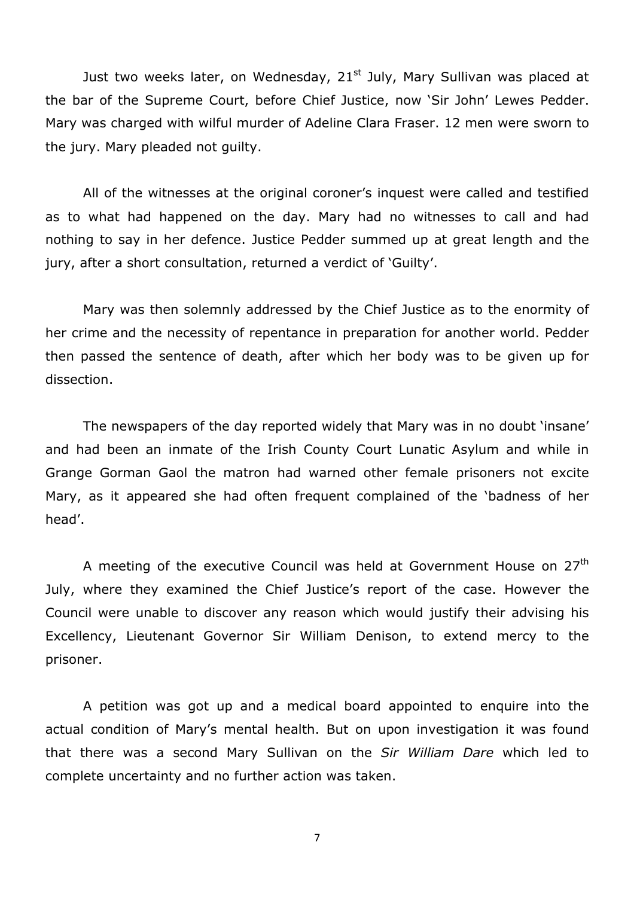Just two weeks later, on Wednesday,  $21<sup>st</sup>$  July, Mary Sullivan was placed at the bar of the Supreme Court, before Chief Justice, now 'Sir John' Lewes Pedder. Mary was charged with wilful murder of Adeline Clara Fraser. 12 men were sworn to the jury. Mary pleaded not guilty.

All of the witnesses at the original coroner's inquest were called and testified as to what had happened on the day. Mary had no witnesses to call and had nothing to say in her defence. Justice Pedder summed up at great length and the jury, after a short consultation, returned a verdict of 'Guilty'.

Mary was then solemnly addressed by the Chief Justice as to the enormity of her crime and the necessity of repentance in preparation for another world. Pedder then passed the sentence of death, after which her body was to be given up for dissection.

The newspapers of the day reported widely that Mary was in no doubt 'insane' and had been an inmate of the Irish County Court Lunatic Asylum and while in Grange Gorman Gaol the matron had warned other female prisoners not excite Mary, as it appeared she had often frequent complained of the 'badness of her head'.

A meeting of the executive Council was held at Government House on 27<sup>th</sup> July, where they examined the Chief Justice's report of the case. However the Council were unable to discover any reason which would justify their advising his Excellency, Lieutenant Governor Sir William Denison, to extend mercy to the prisoner.

A petition was got up and a medical board appointed to enquire into the actual condition of Mary's mental health. But on upon investigation it was found that there was a second Mary Sullivan on the Sir William Dare which led to complete uncertainty and no further action was taken.